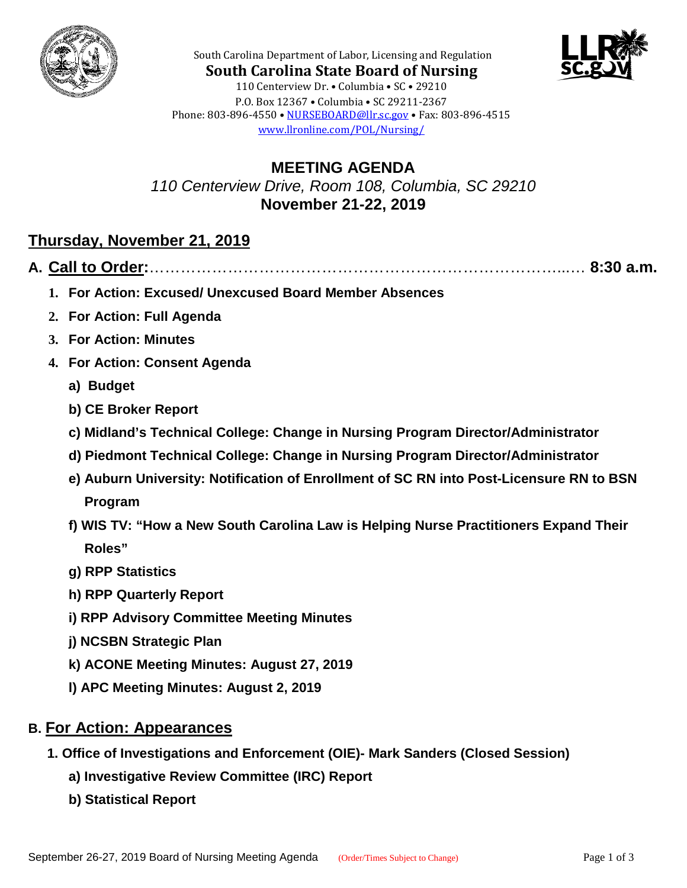



**South Carolina State Board of Nursing** 110 Centerview Dr. • Columbia • SC • 29210 P.O. Box 12367 • Columbia • SC 29211-2367 Phone: 803-896-4550 • [NURSEBOARD@llr.sc.gov](mailto:contactllr@llr.sc.gov) • Fax: 803-896-4515 [www.llronline.com/POL/Nursing/](http://www.llronline.com/POL/Nursing/)

South Carolina Department of Labor, Licensing and Regulation

**MEETING AGENDA** *110 Centerview Drive, Room 108, Columbia, SC 29210* **November 21-22, 2019**

## **Thursday, November 21, 2019**

**A. Call to Order:**……………………………………………………………………...… **8:30 a.m.**

- **1. For Action: Excused/ Unexcused Board Member Absences**
- **2. For Action: Full Agenda**
- **3. For Action: Minutes**
- **4. For Action: Consent Agenda**
	- **a) Budget**
	- **b) CE Broker Report**
	- **c) Midland's Technical College: Change in Nursing Program Director/Administrator**
	- **d) Piedmont Technical College: Change in Nursing Program Director/Administrator**
	- **e) Auburn University: Notification of Enrollment of SC RN into Post-Licensure RN to BSN Program**
	- **f) WIS TV: "How a New South Carolina Law is Helping Nurse Practitioners Expand Their Roles"**
	- **g) RPP Statistics**
	- **h) RPP Quarterly Report**
	- **i) RPP Advisory Committee Meeting Minutes**
	- **j) NCSBN Strategic Plan**
	- **k) ACONE Meeting Minutes: August 27, 2019**
	- **l) APC Meeting Minutes: August 2, 2019**
- **B. For Action: Appearances**
	- **1. Office of Investigations and Enforcement (OIE)- Mark Sanders (Closed Session)**
		- **a) Investigative Review Committee (IRC) Report**
		- **b) Statistical Report**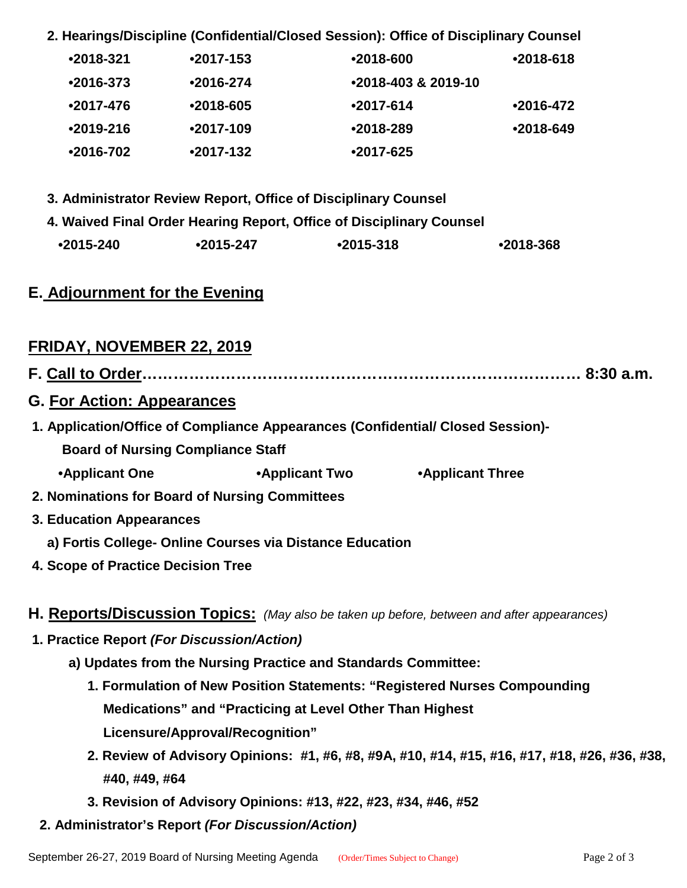**2. Hearings/Discipline (Confidential/Closed Session): Office of Disciplinary Counsel**

| $•2018-321$   | $•2017 - 153$ | $•2018 - 600$       | $•2018-618$   |
|---------------|---------------|---------------------|---------------|
| $•2016-373$   | $•2016 - 274$ | •2018-403 & 2019-10 |               |
| $•2017 - 476$ | $•2018 - 605$ | $•2017 - 614$       | $•2016 - 472$ |
| $•2019-216$   | $•2017-109$   | $•2018-289$         | $•2018-649$   |
| •2016-702     | $•2017-132$   | $•2017 - 625$       |               |

- **3. Administrator Review Report, Office of Disciplinary Counsel**
- **4. Waived Final Order Hearing Report, Office of Disciplinary Counsel**

| $•2015 - 240$ | $•2015 - 247$ | $•2015 - 318$ | •2018-368 |
|---------------|---------------|---------------|-----------|
|               |               |               |           |

### **E. Adjournment for the Evening**

## **FRIDAY, NOVEMBER 22, 2019**

- **G. For Action: Appearances**
- **1. Application/Office of Compliance Appearances (Confidential/ Closed Session)-**
	- **Board of Nursing Compliance Staff**
	- **•Applicant One •Applicant Two •Applicant Three**
- **2. Nominations for Board of Nursing Committees**
- **3. Education Appearances**
	- **a) Fortis College- Online Courses via Distance Education**
- **4. Scope of Practice Decision Tree**

#### **H. Reports/Discussion Topics:** *(May also be taken up before, between and after appearances)*

- **1. Practice Report** *(For Discussion/Action)*
	- **a) Updates from the Nursing Practice and Standards Committee:**
		- **1. Formulation of New Position Statements: "Registered Nurses Compounding Medications" and "Practicing at Level Other Than Highest Licensure/Approval/Recognition"**
		- **2. Review of Advisory Opinions: #1, #6, #8, #9A, #10, #14, #15, #16, #17, #18, #26, #36, #38, #40, #49, #64**
		- **3. Revision of Advisory Opinions: #13, #22, #23, #34, #46, #52**
- **2. Administrator's Report** *(For Discussion/Action)*